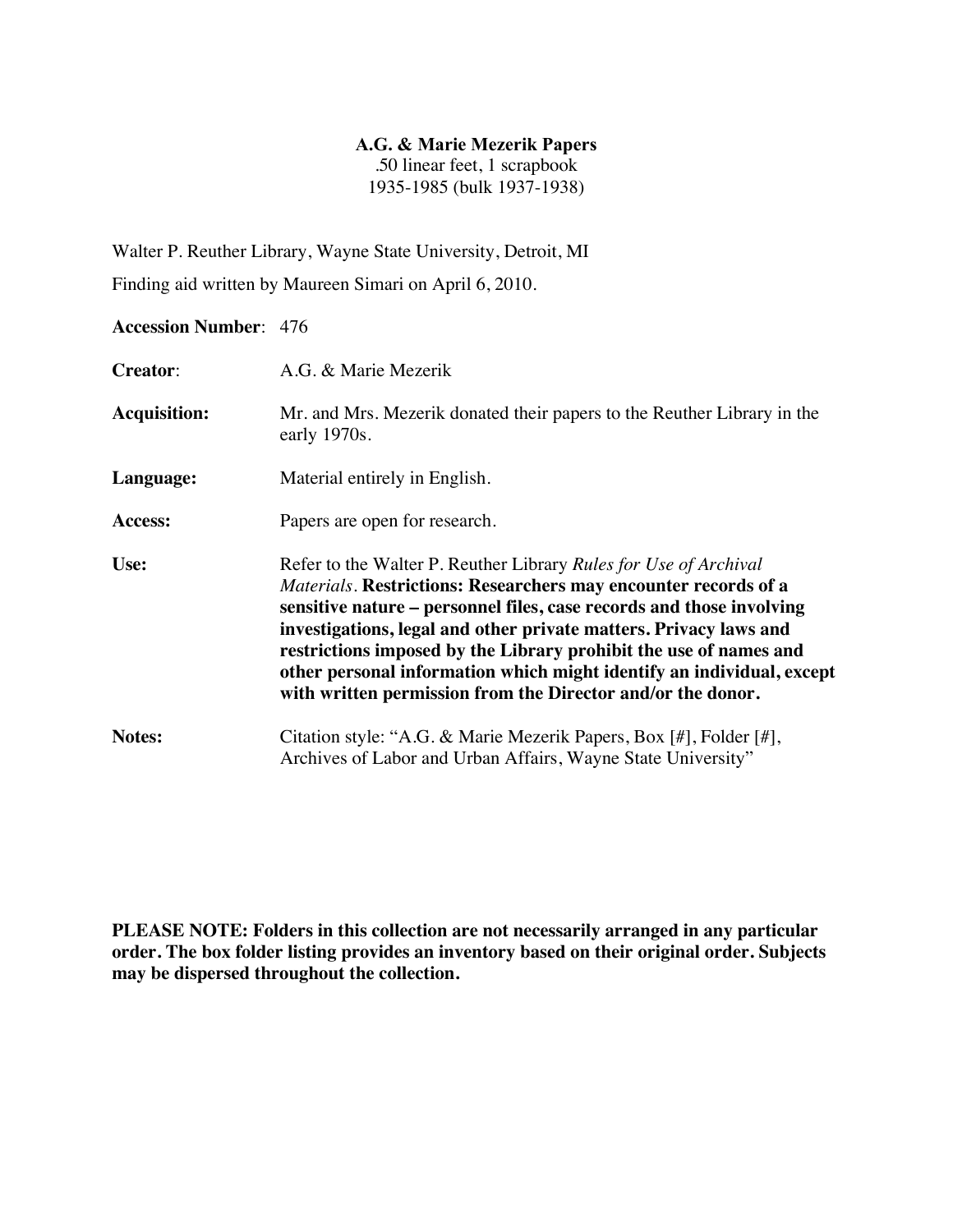### **A.G. & Marie Mezerik Papers**

.50 linear feet, 1 scrapbook 1935-1985 (bulk 1937-1938)

Walter P. Reuther Library, Wayne State University, Detroit, MI

Finding aid written by Maureen Simari on April 6, 2010.

# **Accession Number**: 476

| <b>Creator:</b>     | A.G. & Marie Mezerik                                                                                                                                                                                                                                                                                                                                                                                                                                                                          |
|---------------------|-----------------------------------------------------------------------------------------------------------------------------------------------------------------------------------------------------------------------------------------------------------------------------------------------------------------------------------------------------------------------------------------------------------------------------------------------------------------------------------------------|
| <b>Acquisition:</b> | Mr. and Mrs. Mezerik donated their papers to the Reuther Library in the<br>early 1970s.                                                                                                                                                                                                                                                                                                                                                                                                       |
| Language:           | Material entirely in English.                                                                                                                                                                                                                                                                                                                                                                                                                                                                 |
| Access:             | Papers are open for research.                                                                                                                                                                                                                                                                                                                                                                                                                                                                 |
| Use:                | Refer to the Walter P. Reuther Library Rules for Use of Archival<br>Materials. Restrictions: Researchers may encounter records of a<br>sensitive nature – personnel files, case records and those involving<br>investigations, legal and other private matters. Privacy laws and<br>restrictions imposed by the Library prohibit the use of names and<br>other personal information which might identify an individual, except<br>with written permission from the Director and/or the donor. |
| Notes:              | Citation style: "A.G. & Marie Mezerik Papers, Box [#], Folder [#],<br>Archives of Labor and Urban Affairs, Wayne State University"                                                                                                                                                                                                                                                                                                                                                            |

**PLEASE NOTE: Folders in this collection are not necessarily arranged in any particular order. The box folder listing provides an inventory based on their original order. Subjects may be dispersed throughout the collection.**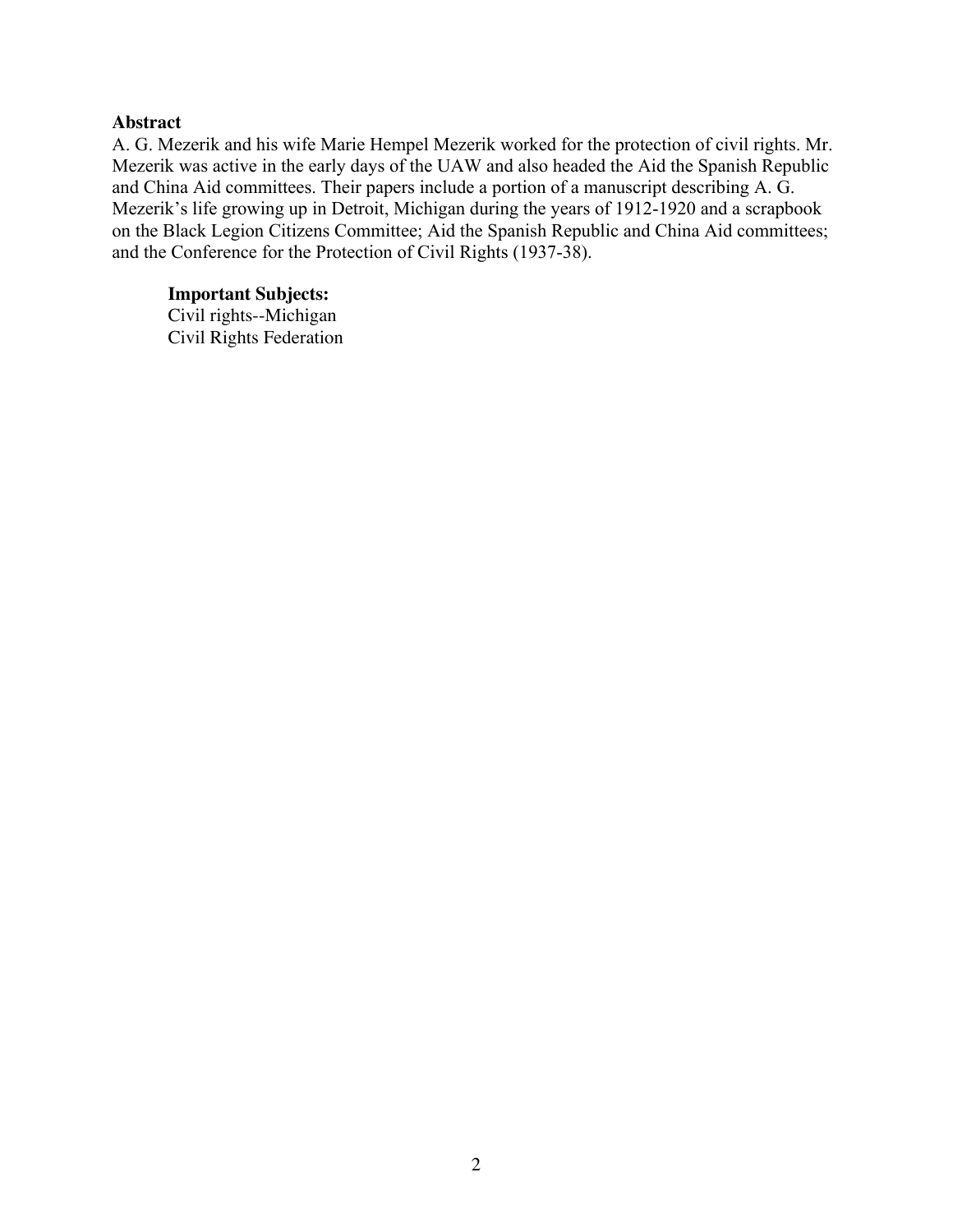#### **Abstract**

A. G. Mezerik and his wife Marie Hempel Mezerik worked for the protection of civil rights. Mr. Mezerik was active in the early days of the UAW and also headed the Aid the Spanish Republic and China Aid committees. Their papers include a portion of a manuscript describing A. G. Mezerik's life growing up in Detroit, Michigan during the years of 1912-1920 and a scrapbook on the Black Legion Citizens Committee; Aid the Spanish Republic and China Aid committees; and the Conference for the Protection of Civil Rights (1937-38).

### **Important Subjects:**

Civil rights--Michigan Civil Rights Federation